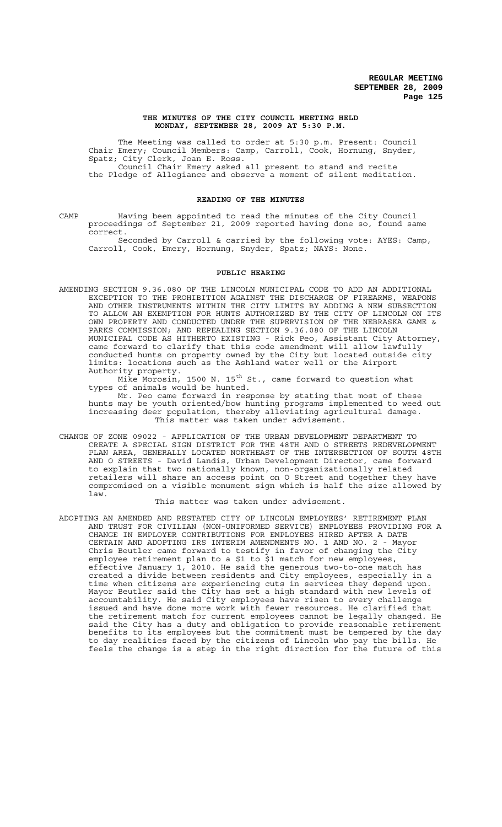### **THE MINUTES OF THE CITY COUNCIL MEETING HELD MONDAY, SEPTEMBER 28, 2009 AT 5:30 P.M.**

The Meeting was called to order at 5:30 p.m. Present: Council Chair Emery; Council Members: Camp, Carroll, Cook, Hornung, Snyder, Spatz; City Clerk, Joan E. Ross. Council Chair Emery asked all present to stand and recite the Pledge of Allegiance and observe a moment of silent meditation.

# **READING OF THE MINUTES**

CAMP Having been appointed to read the minutes of the City Council proceedings of September 21, 2009 reported having done so, found same correct.

Seconded by Carroll & carried by the following vote: AYES: Camp, Carroll, Cook, Emery, Hornung, Snyder, Spatz; NAYS: None.

## **PUBLIC HEARING**

AMENDING SECTION 9.36.080 OF THE LINCOLN MUNICIPAL CODE TO ADD AN ADDITIONAL EXCEPTION TO THE PROHIBITION AGAINST THE DISCHARGE OF FIREARMS, WEAPONS AND OTHER INSTRUMENTS WITHIN THE CITY LIMITS BY ADDING A NEW SUBSECTION TO ALLOW AN EXEMPTION FOR HUNTS AUTHORIZED BY THE CITY OF LINCOLN ON ITS OWN PROPERTY AND CONDUCTED UNDER THE SUPERVISION OF THE NEBRASKA GAME & PARKS COMMISSION; AND REPEALING SECTION 9.36.080 OF THE LINCOLN MUNICIPAL CODE AS HITHERTO EXISTING - Rick Peo, Assistant City Attorney, came forward to clarify that this code amendment will allow lawfully conducted hunts on property owned by the City but located outside city limits: locations such as the Ashland water well or the Airport Authority property.

Mike Morosin, 1500 N. 15<sup>th</sup> St., came forward to question what types of animals would be hunted.

Mr. Peo came forward in response by stating that most of these hunts may be youth oriented/bow hunting programs implemented to weed out increasing deer population, thereby alleviating agricultural damage. This matter was taken under advisement.

CHANGE OF ZONE 09022 - APPLICATION OF THE URBAN DEVELOPMENT DEPARTMENT TO CREATE A SPECIAL SIGN DISTRICT FOR THE 48TH AND O STREETS REDEVELOPMENT PLAN AREA, GENERALLY LOCATED NORTHEAST OF THE INTERSECTION OF SOUTH 48TH AND O STREETS - David Landis, Urban Development Director, came forward to explain that two nationally known, non-organizationally related retailers will share an access point on O Street and together they have compromised on a visible monument sign which is half the size allowed by law.

### This matter was taken under advisement.

ADOPTING AN AMENDED AND RESTATED CITY OF LINCOLN EMPLOYEES' RETIREMENT PLAN AND TRUST FOR CIVILIAN (NON-UNIFORMED SERVICE) EMPLOYEES PROVIDING FOR A CHANGE IN EMPLOYER CONTRIBUTIONS FOR EMPLOYEES HIRED AFTER A DATE CERTAIN AND ADOPTING IRS INTERIM AMENDMENTS NO. 1 AND NO. 2 - Mayor Chris Beutler came forward to testify in favor of changing the City employee retirement plan to a \$1 to \$1 match for new employees, effective January 1, 2010. He said the generous two-to-one match has created a divide between residents and City employees, especially in a time when citizens are experiencing cuts in services they depend upon. Mayor Beutler said the City has set a high standard with new levels of accountability. He said City employees have risen to every challenge issued and have done more work with fewer resources. He clarified that the retirement match for current employees cannot be legally changed. He said the City has a duty and obligation to provide reasonable retirement benefits to its employees but the commitment must be tempered by the day to day realities faced by the citizens of Lincoln who pay the bills. He feels the change is a step in the right direction for the future of this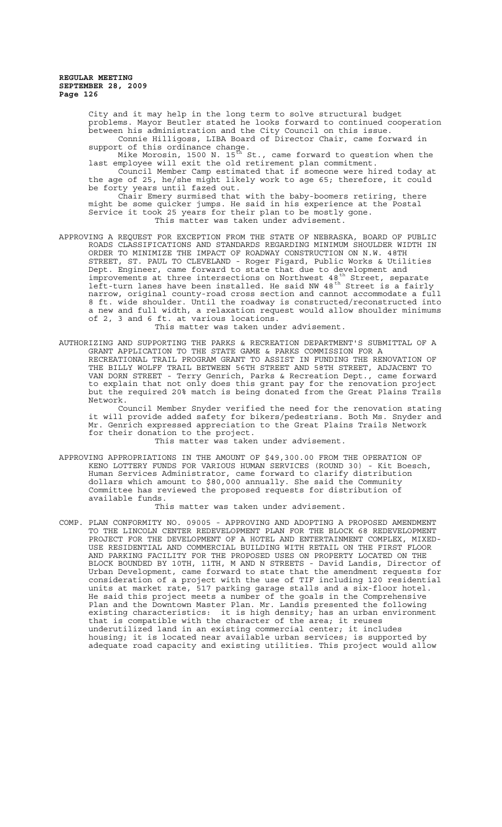City and it may help in the long term to solve structural budget problems. Mayor Beutler stated he looks forward to continued cooperation between his administration and the City Council on this issue. Connie Hilligoss, LIBA Board of Director Chair, came forward in support of this ordinance change.

Mike Morosin, 1500 N. 15 $^{\rm th}$  St., came forward to question when the last employee will exit the old retirement plan commitment.

Council Member Camp estimated that if someone were hired today at the age of 25, he/she might likely work to age 65; therefore, it could be forty years until fazed out.

Chair Emery surmised that with the baby-boomers retiring, there might be some quicker jumps. He said in his experience at the Postal Service it took 25 years for their plan to be mostly gone. This matter was taken under advisement.

APPROVING A REQUEST FOR EXCEPTION FROM THE STATE OF NEBRASKA, BOARD OF PUBLIC ROADS CLASSIFICATIONS AND STANDARDS REGARDING MINIMUM SHOULDER WIDTH IN ORDER TO MINIMIZE THE IMPACT OF ROADWAY CONSTRUCTION ON N.W. 48TH STREET, ST. PAUL TO CLEVELAND - Roger Figard, Public Works & Utilities Dept. Engineer, came forward to state that due to development and improvements at three intersections on Northwest 48<sup>th</sup> Street, separate left-turn lanes have been installed. He said NW 48<sup>th</sup> Street is a fairly narrow, original county-road cross section and cannot accommodate a full 8 ft. wide shoulder. Until the roadway is constructed/reconstructed into a new and full width, a relaxation request would allow shoulder minimums of 2, 3 and 6 ft. at various locations.

This matter was taken under advisement.

AUTHORIZING AND SUPPORTING THE PARKS & RECREATION DEPARTMENT'S SUBMITTAL OF A GRANT APPLICATION TO THE STATE GAME & PARKS COMMISSION FOR A RECREATIONAL TRAIL PROGRAM GRANT TO ASSIST IN FUNDING THE RENOVATION OF THE BILLY WOLFF TRAIL BETWEEN 56TH STREET AND 58TH STREET, ADJACENT TO VAN DORN STREET - Terry Genrich, Parks & Recreation Dept., came forward to explain that not only does this grant pay for the renovation project but the required 20% match is being donated from the Great Plains Trails Network.

Council Member Snyder verified the need for the renovation stating it will provide added safety for bikers/pedestrians. Both Ms. Snyder and Mr. Genrich expressed appreciation to the Great Plains Trails Network for their donation to the project.

This matter was taken under advisement.

APPROVING APPROPRIATIONS IN THE AMOUNT OF \$49,300.00 FROM THE OPERATION OF KENO LOTTERY FUNDS FOR VARIOUS HUMAN SERVICES (ROUND 30) - Kit Boesch, Human Services Administrator, came forward to clarify distribution dollars which amount to \$80,000 annually. She said the Community Committee has reviewed the proposed requests for distribution of available funds.

This matter was taken under advisement.

COMP. PLAN CONFORMITY NO. 09005 - APPROVING AND ADOPTING A PROPOSED AMENDMENT TO THE LINCOLN CENTER REDEVELOPMENT PLAN FOR THE BLOCK 68 REDEVELOPMENT PROJECT FOR THE DEVELOPMENT OF A HOTEL AND ENTERTAINMENT COMPLEX, MIXED-USE RESIDENTIAL AND COMMERCIAL BUILDING WITH RETAIL ON THE FIRST FLOOR AND PARKING FACILITY FOR THE PROPOSED USES ON PROPERTY LOCATED ON THE BLOCK BOUNDED BY 10TH, 11TH, M AND N STREETS - David Landis, Director of Urban Development, came forward to state that the amendment requests for consideration of a project with the use of TIF including 120 residential units at market rate, 517 parking garage stalls and a six-floor hotel. He said this project meets a number of the goals in the Comprehensive Plan and the Downtown Master Plan. Mr. Landis presented the following existing characteristics: it is high density; has an urban environment that is compatible with the character of the area; it reuses underutilized land in an existing commercial center; it includes housing; it is located near available urban services; is supported by adequate road capacity and existing utilities. This project would allow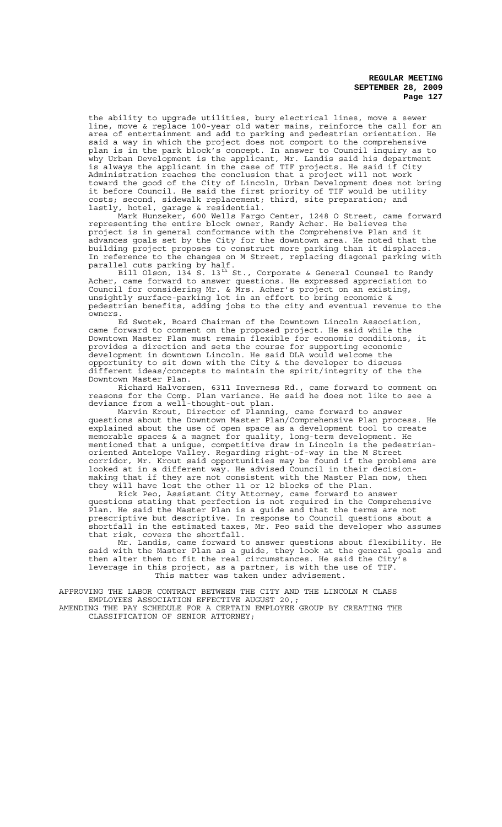the ability to upgrade utilities, bury electrical lines, move a sewer line, move & replace 100-year old water mains, reinforce the call for an area of entertainment and add to parking and pedestrian orientation. He said a way in which the project does not comport to the comprehensive plan is in the park block's concept. In answer to Council inquiry as to why Urban Development is the applicant, Mr. Landis said his department is always the applicant in the case of TIF projects. He said if City Administration reaches the conclusion that a project will not work toward the good of the City of Lincoln, Urban Development does not bring it before Council. He said the first priority of TIF would be utility costs; second, sidewalk replacement; third, site preparation; and lastly, hotel, garage & residential.

Mark Hunzeker, 600 Wells Fargo Center, 1248 O Street, came forward representing the entire block owner, Randy Acher. He believes the project is in general conformance with the Comprehensive Plan and it advances goals set by the City for the downtown area. He noted that the building project proposes to construct more parking than it displaces. In reference to the changes on M Street, replacing diagonal parking with parallel cuts parking by half.

Bill Olson, 134 S. 13th St., Corporate & General Counsel to Randy Acher, came forward to answer questions. He expressed appreciation to Council for considering Mr. & Mrs. Acher's project on an existing, unsightly surface-parking lot in an effort to bring economic & pedestrian benefits, adding jobs to the city and eventual revenue to the owners.

Ed Swotek, Board Chairman of the Downtown Lincoln Association, came forward to comment on the proposed project. He said while the Downtown Master Plan must remain flexible for economic conditions, it provides a direction and sets the course for supporting economic development in downtown Lincoln. He said DLA would welcome the opportunity to sit down with the City & the developer to discuss different ideas/concepts to maintain the spirit/integrity of the the Downtown Master Plan.

Richard Halvorsen, 6311 Inverness Rd., came forward to comment on reasons for the Comp. Plan variance. He said he does not like to see a deviance from a well-thought-out plan.

Marvin Krout, Director of Planning, came forward to answer questions about the Downtown Master Plan/Comprehensive Plan process. He explained about the use of open space as a development tool to create memorable spaces & a magnet for quality, long-term development. He mentioned that a unique, competitive draw in Lincoln is the pedestrianoriented Antelope Valley. Regarding right-of-way in the M Street corridor, Mr. Krout said opportunities may be found if the problems are looked at in a different way. He advised Council in their decisionmaking that if they are not consistent with the Master Plan now, then they will have lost the other 11 or 12 blocks of the Plan.

Rick Peo, Assistant City Attorney, came forward to answer questions stating that perfection is not required in the Comprehensive Plan. He said the Master Plan is a guide and that the terms are not prescriptive but descriptive. In response to Council questions about a shortfall in the estimated taxes, Mr. Peo said the developer who assumes that risk, covers the shortfall.

Mr. Landis, came forward to answer questions about flexibility. He said with the Master Plan as a guide, they look at the general goals and then alter them to fit the real circumstances. He said the City's leverage in this project, as a partner, is with the use of TIF. This matter was taken under advisement.

APPROVING THE LABOR CONTRACT BETWEEN THE CITY AND THE LINCOLN M CLASS EMPLOYEES ASSOCIATION EFFECTIVE AUGUST 20,; AMENDING THE PAY SCHEDULE FOR A CERTAIN EMPLOYEE GROUP BY CREATING THE CLASSIFICATION OF SENIOR ATTORNEY;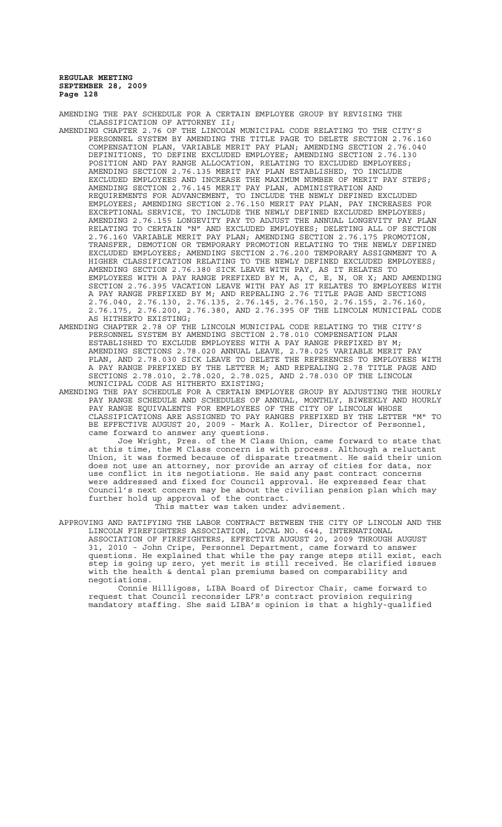AMENDING THE PAY SCHEDULE FOR A CERTAIN EMPLOYEE GROUP BY REVISING THE CLASSIFICATION OF ATTORNEY II;

- AMENDING CHAPTER 2.76 OF THE LINCOLN MUNICIPAL CODE RELATING TO THE CITY'S PERSONNEL SYSTEM BY AMENDING THE TITLE PAGE TO DELETE SECTION 2.76.160 COMPENSATION PLAN, VARIABLE MERIT PAY PLAN; AMENDING SECTION 2.76.040 DEFINITIONS, TO DEFINE EXCLUDED EMPLOYEE; AMENDING SECTION 2.76.130 POSITION AND PAY RANGE ALLOCATION, RELATING TO EXCLUDED EMPLOYEES; AMENDING SECTION 2.76.135 MERIT PAY PLAN ESTABLISHED, TO INCLUDE EXCLUDED EMPLOYEES AND INCREASE THE MAXIMUM NUMBER OF MERIT PAY STEPS; AMENDING SECTION 2.76.145 MERIT PAY PLAN, ADMINISTRATION AND REQUIREMENTS FOR ADVANCEMENT, TO INCLUDE THE NEWLY DEFINED EXCLUDED EMPLOYEES; AMENDING SECTION 2.76.150 MERIT PAY PLAN, PAY INCREASES FOR EXCEPTIONAL SERVICE, TO INCLUDE THE NEWLY DEFINED EXCLUDED EMPLOYEES; AMENDING 2.76.155 LONGEVITY PAY TO ADJUST THE ANNUAL LONGEVITY PAY PLAN RELATING TO CERTAIN "N" AND EXCLUDED EMPLOYEES; DELETING ALL OF SECTION 2.76.160 VARIABLE MERIT PAY PLAN; AMENDING SECTION 2.76.175 PROMOTION, TRANSFER, DEMOTION OR TEMPORARY PROMOTION RELATING TO THE NEWLY DEFINED EXCLUDED EMPLOYEES; AMENDING SECTION 2.76.200 TEMPORARY ASSIGNMENT TO A HIGHER CLASSIFICATION RELATING TO THE NEWLY DEFINED EXCLUDED EMPLOYEES; AMENDING SECTION 2.76.380 SICK LEAVE WITH PAY, AS IT RELATES TO EMPLOYEES WITH A PAY RANGE PREFIXED BY M, A, C, E, N, OR X; AND AMENDING SECTION 2.76.395 VACATION LEAVE WITH PAY AS IT RELATES TO EMPLOYEES WITH A PAY RANGE PREFIXED BY M; AND REPEALING 2.76 TITLE PAGE AND SECTIONS 2.76.040, 2.76.130, 2.76.135, 2.76.145, 2.76.150, 2.76.155, 2.76.160, 2.76.175, 2.76.200, 2.76.380, AND 2.76.395 OF THE LINCOLN MUNICIPAL CODE AS HITHERTO EXISTING;
- AMENDING CHAPTER 2.78 OF THE LINCOLN MUNICIPAL CODE RELATING TO THE CITY'S PERSONNEL SYSTEM BY AMENDING SECTION 2.78.010 COMPENSATION PLAN ESTABLISHED TO EXCLUDE EMPLOYEES WITH A PAY RANGE PREFIXED BY M; AMENDING SECTIONS 2.78.020 ANNUAL LEAVE, 2.78.025 VARIABLE MERIT PAY PLAN, AND 2.78.030 SICK LEAVE TO DELETE THE REFERENCES TO EMPLOYEES WITH A PAY RANGE PREFIXED BY THE LETTER M; AND REPEALING 2.78 TITLE PAGE AND SECTIONS 2.78.010, 2.78.020, 2.78.025, AND 2.78.030 OF THE LINCOLN MUNICIPAL CODE AS HITHERTO EXISTING;
- AMENDING THE PAY SCHEDULE FOR A CERTAIN EMPLOYEE GROUP BY ADJUSTING THE HOURLY PAY RANGE SCHEDULE AND SCHEDULES OF ANNUAL, MONTHLY, BIWEEKLY AND HOURLY PAY RANGE EQUIVALENTS FOR EMPLOYEES OF THE CITY OF LINCOLN WHOSE CLASSIFICATIONS ARE ASSIGNED TO PAY RANGES PREFIXED BY THE LETTER "M" TO BE EFFECTIVE AUGUST 20, 2009 - Mark A. Koller, Director of Personnel, came forward to answer any questions.

Joe Wright, Pres. of the M Class Union, came forward to state that at this time, the M Class concern is with process. Although a reluctant Union, it was formed because of disparate treatment. He said their union does not use an attorney, nor provide an array of cities for data, nor use conflict in its negotiations. He said any past contract concerns were addressed and fixed for Council approval. He expressed fear that Council's next concern may be about the civilian pension plan which may further hold up approval of the contract.

This matter was taken under advisement.

APPROVING AND RATIFYING THE LABOR CONTRACT BETWEEN THE CITY OF LINCOLN AND THE LINCOLN FIREFIGHTERS ASSOCIATION, LOCAL NO. 644, INTERNATIONAL ASSOCIATION OF FIREFIGHTERS, EFFECTIVE AUGUST 20, 2009 THROUGH AUGUST 31, 2010 - John Cripe, Personnel Department, came forward to answer questions. He explained that while the pay range steps still exist, each step is going up zero, yet merit is still received. He clarified issues with the health & dental plan premiums based on comparability and negotiations.

Connie Hilligoss, LIBA Board of Director Chair, came forward to request that Council reconsider LFR's contract provision request mandatory staffing. She said LIBA's opinion is that a highly-qualified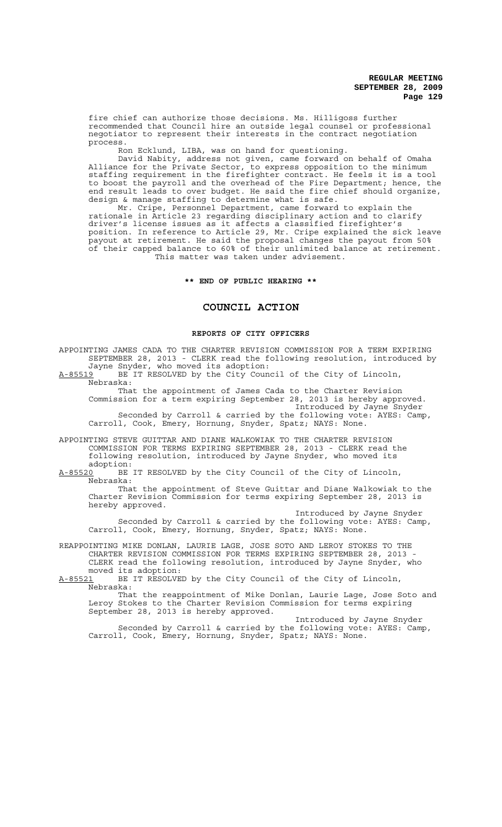fire chief can authorize those decisions. Ms. Hilligoss further recommended that Council hire an outside legal counsel or professional negotiator to represent their interests in the contract negotiation process.

Ron Ecklund, LIBA, was on hand for questioning.

David Nabity, address not given, came forward on behalf of Omaha Alliance for the Private Sector, to express opposition to the minimum staffing requirement in the firefighter contract. He feels it is a tool to boost the payroll and the overhead of the Fire Department; hence, the end result leads to over budget. He said the fire chief should organize, design & manage staffing to determine what is safe.

Mr. Cripe, Personnel Department, came forward to explain the rationale in Article 23 regarding disciplinary action and to clarify driver's license issues as it affects a classified firefighter's position. In reference to Article 29, Mr. Cripe explained the sick leave payout at retirement. He said the proposal changes the payout from 50% of their capped balance to 60% of their unlimited balance at retirement. This matter was taken under advisement.

## **\*\* END OF PUBLIC HEARING \*\***

# **COUNCIL ACTION**

### **REPORTS OF CITY OFFICERS**

APPOINTING JAMES CADA TO THE CHARTER REVISION COMMISSION FOR A TERM EXPIRING SEPTEMBER 28, 2013 - CLERK read the following resolution, introduced by Jayne Snyder, who moved its adoption:

A-85519 BE IT RESOLVED by the City Council of the City of Lincoln, Nebraska:

That the appointment of James Cada to the Charter Revision Commission for a term expiring September 28, 2013 is hereby approved. Introduced by Jayne Snyder Seconded by Carroll & carried by the following vote: AYES: Camp, Carroll, Cook, Emery, Hornung, Snyder, Spatz; NAYS: None.

APPOINTING STEVE GUITTAR AND DIANE WALKOWIAK TO THE CHARTER REVISION COMMISSION FOR TERMS EXPIRING SEPTEMBER 28, 2013 - CLERK read the following resolution, introduced by Jayne Snyder, who moved its

adoption:<br><u>A-85520</u> BE BE IT RESOLVED by the City Council of the City of Lincoln, Nebraska:

That the appointment of Steve Guittar and Diane Walkowiak to the Charter Revision Commission for terms expiring September 28, 2013 is hereby approved.

Introduced by Jayne Snyder Seconded by Carroll & carried by the following vote: AYES: Camp, Carroll, Cook, Emery, Hornung, Snyder, Spatz; NAYS: None.

REAPPOINTING MIKE DONLAN, LAURIE LAGE, JOSE SOTO AND LEROY STOKES TO THE CHARTER REVISION COMMISSION FOR TERMS EXPIRING SEPTEMBER 28, 2013 - CLERK read the following resolution, introduced by Jayne Snyder, who moved its adoption:

A-85521 BE IT RESOLVED by the City Council of the City of Lincoln, Nebraska:

That the reappointment of Mike Donlan, Laurie Lage, Jose Soto and Leroy Stokes to the Charter Revision Commission for terms expiring September 28, 2013 is hereby approved.

Introduced by Jayne Snyder Seconded by Carroll & carried by the following vote: AYES: Camp, Carroll, Cook, Emery, Hornung, Snyder, Spatz; NAYS: None.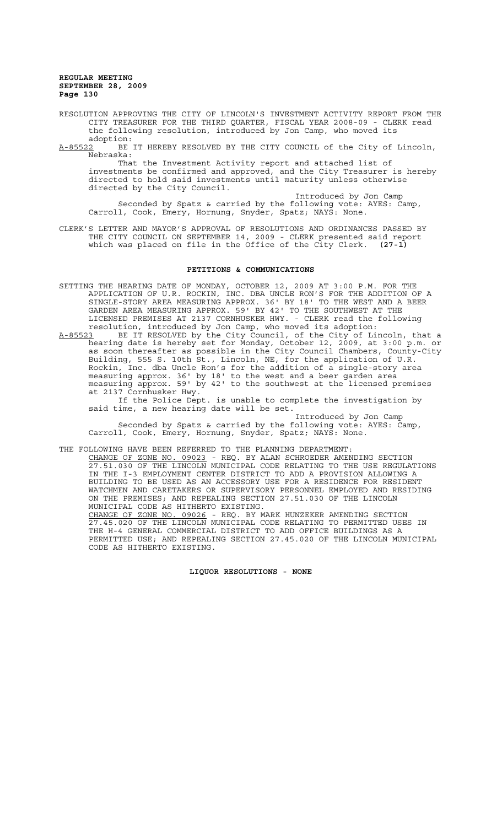RESOLUTION APPROVING THE CITY OF LINCOLN'S INVESTMENT ACTIVITY REPORT FROM THE CITY TREASURER FOR THE THIRD QUARTER, FISCAL YEAR 2008-09 - CLERK read the following resolution, introduced by Jon Camp, who moved its

adoption:<br>A-85522 BE BE IT HEREBY RESOLVED BY THE CITY COUNCIL of the City of Lincoln, Nebraska:

That the Investment Activity report and attached list of investments be confirmed and approved, and the City Treasurer is hereby directed to hold said investments until maturity unless otherwise directed by the City Council.

Introduced by Jon Camp Seconded by Spatz & carried by the following vote: AYES: Camp, Carroll, Cook, Emery, Hornung, Snyder, Spatz; NAYS: None.

CLERK'S LETTER AND MAYOR'S APPROVAL OF RESOLUTIONS AND ORDINANCES PASSED BY THE CITY COUNCIL ON SEPTEMBER 14, 2009 - CLERK presented said report which was placed on file in the Office of the City Clerk. **(27-1)**

### **PETITIONS & COMMUNICATIONS**

SETTING THE HEARING DATE OF MONDAY, OCTOBER 12, 2009 AT 3:00 P.M. FOR THE APPLICATION OF U.R. ROCKIN, INC. DBA UNCLE RON'S FOR THE ADDITION OF A SINGLE-STORY AREA MEASURING APPROX. 36' BY 18' TO THE WEST AND A BEER GARDEN AREA MEASURING APPROX. 59' BY 42' TO THE SOUTHWEST AT THE LICENSED PREMISES AT 2137 CORNHUSKER HWY. - CLERK read the following resolution, introduced by Jon Camp, who moved its adoption:

A-85523 BE IT RESOLVED by the City Council, of the City of Lincoln, that a hearing date is hereby set for Monday, October 12, 2009, at 3:00 p.m. or as soon thereafter as possible in the City Council Chambers, County-City Building, 555 S. 10th St., Lincoln, NE, for the application of U.R. Rockin, Inc. dba Uncle Ron's for the addition of a single-story area measuring approx. 36' by 18' to the west and a beer garden area measuring approx. 59' by 42' to the southwest at the licensed premises at 2137 Cornhusker Hwy.

If the Police Dept. is unable to complete the investigation by said time, a new hearing date will be set.

Introduced by Jon Camp Seconded by Spatz & carried by the following vote: AYES: Camp, Carroll, Cook, Emery, Hornung, Snyder, Spatz; NAYS: None.

THE FOLLOWING HAVE BEEN REFERRED TO THE PLANNING DEPARTMENT:

CHANGE OF ZONE NO. 09023 - REQ. BY ALAN SCHROEDER AMENDING SECTION 27.51.030 OF THE LINCOLN MUNICIPAL CODE RELATING TO THE USE REGULATIONS IN THE I-3 EMPLOYMENT CENTER DISTRICT TO ADD A PROVISION ALLOWING A BUILDING TO BE USED AS AN ACCESSORY USE FOR A RESIDENCE FOR RESIDENT WATCHMEN AND CARETAKERS OR SUPERVISORY PERSONNEL EMPLOYED AND RESIDING ON THE PREMISES; AND REPEALING SECTION 27.51.030 OF THE LINCOLN MUNICIPAL CODE AS HITHERTO EXISTING. CHANGE OF ZONE NO. 09026 - REQ. BY MARK HUNZEKER AMENDING SECTION 27.45.020 OF THE LINCOLN MUNICIPAL CODE RELATING TO PERMITTED USES IN THE H-4 GENERAL COMMERCIAL DISTRICT TO ADD OFFICE BUILDINGS AS A

PERMITTED USE; AND REPEALING SECTION 27.45.020 OF THE LINCOLN MUNICIPAL CODE AS HITHERTO EXISTING.

**LIQUOR RESOLUTIONS - NONE**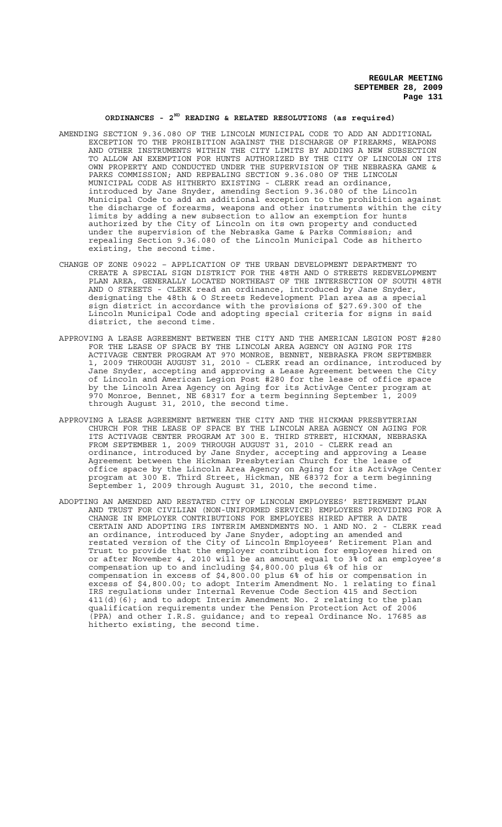# **ORDINANCES - 2ND READING & RELATED RESOLUTIONS (as required)**

- AMENDING SECTION 9.36.080 OF THE LINCOLN MUNICIPAL CODE TO ADD AN ADDITIONAL EXCEPTION TO THE PROHIBITION AGAINST THE DISCHARGE OF FIREARMS, WEAPONS AND OTHER INSTRUMENTS WITHIN THE CITY LIMITS BY ADDING A NEW SUBSECTION TO ALLOW AN EXEMPTION FOR HUNTS AUTHORIZED BY THE CITY OF LINCOLN ON ITS OWN PROPERTY AND CONDUCTED UNDER THE SUPERVISION OF THE NEBRASKA GAME & PARKS COMMISSION; AND REPEALING SECTION 9.36.080 OF THE LINCOLN MUNICIPAL CODE AS HITHERTO EXISTING - CLERK read an ordinance, introduced by Jane Snyder, amending Section 9.36.080 of the Lincoln Municipal Code to add an additional exception to the prohibition against the discharge of forearms, weapons and other instruments within the city limits by adding a new subsection to allow an exemption for hunts authorized by the City of Lincoln on its own property and conducted under the supervision of the Nebraska Game & Parks Commission; and repealing Section 9.36.080 of the Lincoln Municipal Code as hitherto existing, the second time.
- CHANGE OF ZONE 09022 APPLICATION OF THE URBAN DEVELOPMENT DEPARTMENT TO CREATE A SPECIAL SIGN DISTRICT FOR THE 48TH AND O STREETS REDEVELOPMENT PLAN AREA, GENERALLY LOCATED NORTHEAST OF THE INTERSECTION OF SOUTH 48TH AND O STREETS - CLERK read an ordinance, introduced by Jane Snyder, designating the 48th & O Streets Redevelopment Plan area as a special sign district in accordance with the provisions of §27.69.300 of the Lincoln Municipal Code and adopting special criteria for signs in said district, the second time.
- APPROVING A LEASE AGREEMENT BETWEEN THE CITY AND THE AMERICAN LEGION POST #280 FOR THE LEASE OF SPACE BY THE LINCOLN AREA AGENCY ON AGING FOR ITS ACTIVAGE CENTER PROGRAM AT 970 MONROE, BENNET, NEBRASKA FROM SEPTEMBER 1, 2009 THROUGH AUGUST 31, 2010 - CLERK read an ordinance, introduced by Jane Snyder, accepting and approving a Lease Agreement between the City of Lincoln and American Legion Post #280 for the lease of office space by the Lincoln Area Agency on Aging for its ActivAge Center program at 970 Monroe, Bennet, NE 68317 for a term beginning September 1, 2009 through August 31, 2010, the second time.
- APPROVING A LEASE AGREEMENT BETWEEN THE CITY AND THE HICKMAN PRESBYTERIAN CHURCH FOR THE LEASE OF SPACE BY THE LINCOLN AREA AGENCY ON AGING FOR ITS ACTIVAGE CENTER PROGRAM AT 300 E. THIRD STREET, HICKMAN, NEBRASKA FROM SEPTEMBER 1, 2009 THROUGH AUGUST 31, 2010 - CLERK read an ordinance, introduced by Jane Snyder, accepting and approving a Lease Agreement between the Hickman Presbyterian Church for the lease of office space by the Lincoln Area Agency on Aging for its ActivAge Center program at 300 E. Third Street, Hickman, NE 68372 for a term beginning September 1, 2009 through August 31, 2010, the second time.
- ADOPTING AN AMENDED AND RESTATED CITY OF LINCOLN EMPLOYEES' RETIREMENT PLAN AND TRUST FOR CIVILIAN (NON-UNIFORMED SERVICE) EMPLOYEES PROVIDING FOR A CHANGE IN EMPLOYER CONTRIBUTIONS FOR EMPLOYEES HIRED AFTER A DATE CERTAIN AND ADOPTING IRS INTERIM AMENDMENTS NO. 1 AND NO. 2 - CLERK read an ordinance, introduced by Jane Snyder, adopting an amended and restated version of the City of Lincoln Employees' Retirement Plan and Trust to provide that the employer contribution for employees hired on or after November 4, 2010 will be an amount equal to 3% of an employee's compensation up to and including \$4,800.00 plus 6% of his or compensation in excess of \$4,800.00 plus 6% of his or compensation in excess of \$4,800.00; to adopt Interim Amendment No. 1 relating to final IRS regulations under Internal Revenue Code Section 415 and Section  $411$ (d)(6); and to adopt Interim Amendment No. 2 relating to the plan qualification requirements under the Pension Protection Act of 2006  $\overline{(\texttt{PPA})}$  and other I.R.S. guidance; and to repeal Ordinance No. 17685 as hitherto existing, the second time.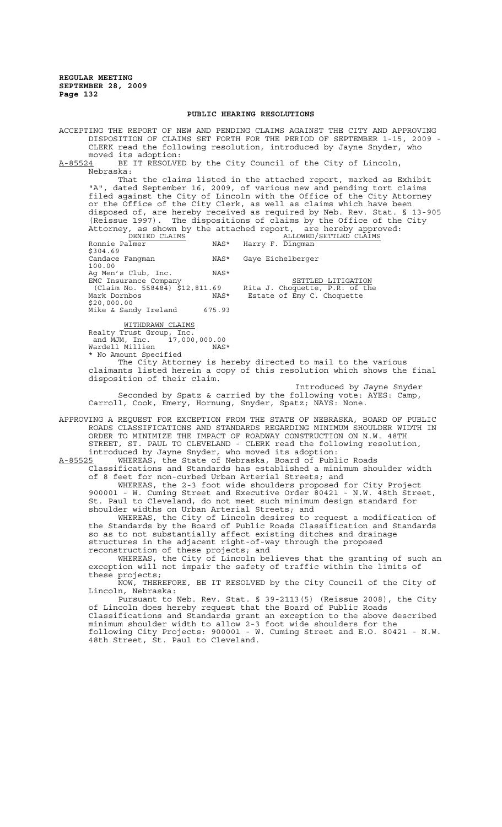### **PUBLIC HEARING RESOLUTIONS**

ACCEPTING THE REPORT OF NEW AND PENDING CLAIMS AGAINST THE CITY AND APPROVING DISPOSITION OF CLAIMS SET FORTH FOR THE PERIOD OF SEPTEMBER 1-15, 2009 - CLERK read the following resolution, introduced by Jayne Snyder, who moved its adoption:<br>A-85524 BE IT RESOLVE

BE IT RESOLVED by the City Council of the City of Lincoln, Nebraska:

That the claims listed in the attached report, marked as Exhibit "A", dated September 16, 2009, of various new and pending tort claims filed against the City of Lincoln with the Office of the City Attorney or the Office of the City Clerk, as well as claims which have been disposed of, are hereby received as required by Neb. Rev. Stat. § 13-905 (Reissue 1997). The dispositions of claims by the Office of the City Attorney, as shown by the attached report, are hereby approved:<br>DENIED CLAIMS ALLOWED/SETTLED CLAIMS DENIED CLAIMS ALLOWED/SETTLED CLAIMS

Ronnie Palmer MAS\* Harry F. Dingman \$304.69<br>Candace Fangman NAS\* Gaye Eichelberger 100.00 Ag Men's Club, Inc. NAS\* EMC Insurance Company **SETTLED LITIGATION** (Claim No. 558484)  $\frac{1}{5}12,811.69$  Rita J. Choquette, P.R. of the Mark Dornbos NAS\* Estate of Emy C. Choquette \$20,000.00 Mike & Sandy Ireland 675.93

WITHDRAWN CLAIMS

disposition of their claim.

Realty Trust Group, Inc. and MJM, Inc. 17,000,000.00 Wardell Millien MAS\* \* No Amount Specified The City Attorney is hereby directed to mail to the various claimants listed herein a copy of this resolution which shows the final

Introduced by Jayne Snyder Seconded by Spatz & carried by the following vote: AYES: Camp, Carroll, Cook, Emery, Hornung, Snyder, Spatz; NAYS: None.

APPROVING A REQUEST FOR EXCEPTION FROM THE STATE OF NEBRASKA, BOARD OF PUBLIC ROADS CLASSIFICATIONS AND STANDARDS REGARDING MINIMUM SHOULDER WIDTH IN ORDER TO MINIMIZE THE IMPACT OF ROADWAY CONSTRUCTION ON N.W. 48TH STREET, ST. PAUL TO CLEVELAND - CLERK read the following resolution, introduced by Jayne Snyder, who moved its adoption:

A-85525 WHEREAS, the State of Nebraska, Board of Public Roads Classifications and Standards has established a minimum shoulder width of 8 feet for non-curbed Urban Arterial Streets; and

WHEREAS, the 2-3 foot wide shoulders proposed for City Project 900001 - W. Cuming Street and Executive Order 80421 - N.W. 48th Street, St. Paul to Cleveland, do not meet such minimum design standard for shoulder widths on Urban Arterial Streets; and

WHEREAS, the City of Lincoln desires to request a modification of the Standards by the Board of Public Roads Classification and Standards so as to not substantially affect existing ditches and drainage structures in the adjacent right-of-way through the proposed reconstruction of these projects; and

WHEREAS, the City of Lincoln believes that the granting of such an exception will not impair the safety of traffic within the limits of these projects;

NOW, THEREFORE, BE IT RESOLVED by the City Council of the City of Lincoln, Nebraska:

Pursuant to Neb. Rev. Stat. § 39-2113(5) (Reissue 2008), the City of Lincoln does hereby request that the Board of Public Roads Classifications and Standards grant an exception to the above described minimum shoulder width to allow 2-3 foot wide shoulders for the following City Projects: 900001 - W. Cuming Street and E.O. 80421 - N.W. 48th Street, St. Paul to Cleveland.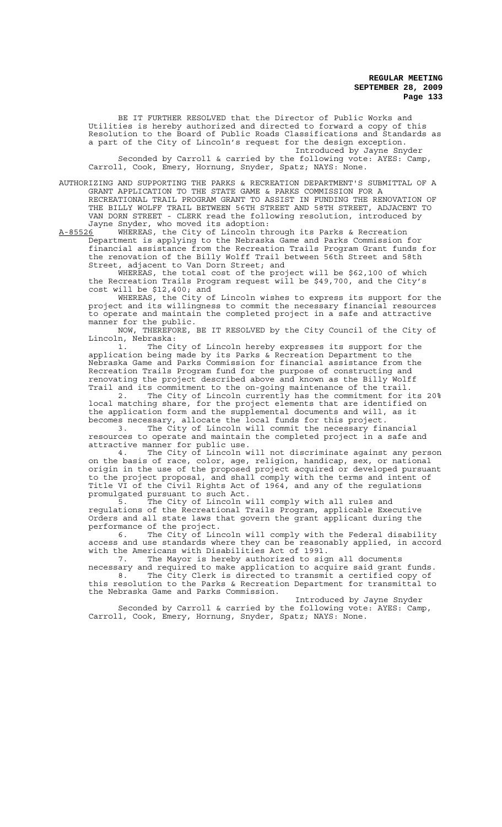BE IT FURTHER RESOLVED that the Director of Public Works and Utilities is hereby authorized and directed to forward a copy of this Resolution to the Board of Public Roads Classifications and Standards as a part of the City of Lincoln's request for the design exception. Introduced by Jayne Snyder

Seconded by Carroll & carried by the following vote: AYES: Camp, Carroll, Cook, Emery, Hornung, Snyder, Spatz; NAYS: None.

AUTHORIZING AND SUPPORTING THE PARKS & RECREATION DEPARTMENT'S SUBMITTAL OF A GRANT APPLICATION TO THE STATE GAME & PARKS COMMISSION FOR A RECREATIONAL TRAIL PROGRAM GRANT TO ASSIST IN FUNDING THE RENOVATION OF THE BILLY WOLFF TRAIL BETWEEN 56TH STREET AND 58TH STREET, ADJACENT TO VAN DORN STREET - CLERK read the following resolution, introduced by Jayne Snyder, who moved its adoption:

A-85526 WHEREAS, the City of Lincoln through its Parks & Recreation Department is applying to the Nebraska Game and Parks Commission for financial assistance from the Recreation Trails Program Grant funds for the renovation of the Billy Wolff Trail between 56th Street and 58th Street, adjacent to Van Dorn Street; and

WHEREAS, the total cost of the project will be \$62,100 of which the Recreation Trails Program request will be \$49,700, and the City's cost will be \$12,400; and

WHEREAS, the City of Lincoln wishes to express its support for the project and its willingness to commit the necessary financial resources to operate and maintain the completed project in a safe and attractive manner for the public.

NOW, THEREFORE, BE IT RESOLVED by the City Council of the City of Lincoln, Nebraska:

1. The City of Lincoln hereby expresses its support for the application being made by its Parks & Recreation Department to the Nebraska Game and Parks Commission for financial assistance from the Recreation Trails Program fund for the purpose of constructing and renovating the project described above and known as the Billy Wolff

Trail and its commitment to the on-going maintenance of the trail.<br>2. The City of Lincoln currently has the commitment for i The City of Lincoln currently has the commitment for its 20% local matching share, for the project elements that are identified on the application form and the supplemental documents and will, as it becomes necessary, allocate the local funds for this project.

3. The City of Lincoln will commit the necessary financial resources to operate and maintain the completed project in a safe and attractive manner for public use.

4. The City of Lincoln will not discriminate against any person on the basis of race, color, age, religion, handicap, sex, or national origin in the use of the proposed project acquired or developed pursuant to the project proposal, and shall comply with the terms and intent of Title VI of the Civil Rights Act of 1964, and any of the regulations promulgated pursuant to such Act.

5. The City of Lincoln will comply with all rules and regulations of the Recreational Trails Program, applicable Executive Orders and all state laws that govern the grant applicant during the performance of the project.<br>6. The City of Lin

The City of Lincoln will comply with the Federal disability access and use standards where they can be reasonably applied, in accord with the Americans with Disabilities Act of 1991.<br>7. The Mayor is hereby authorized to sig

The Mayor is hereby authorized to sign all documents necessary and required to make application to acquire said grant funds. 8. The City Clerk is directed to transmit a certified copy of this resolution to the Parks & Recreation Department for transmittal to the Nebraska Game and Parks Commission.

Introduced by Jayne Snyder Seconded by Carroll & carried by the following vote: AYES: Camp, Carroll, Cook, Emery, Hornung, Snyder, Spatz; NAYS: None.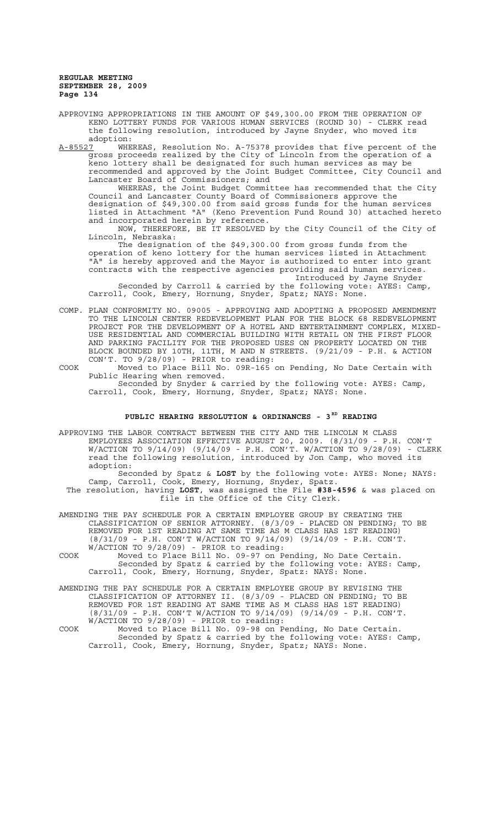APPROVING APPROPRIATIONS IN THE AMOUNT OF \$49,300.00 FROM THE OPERATION OF KENO LOTTERY FUNDS FOR VARIOUS HUMAN SERVICES (ROUND 30) - CLERK read the following resolution, introduced by Jayne Snyder, who moved its adoption:<br>A-85527 WHE

A-85527 WHEREAS, Resolution No. A-75378 provides that five percent of the gross proceeds realized by the City of Lincoln from the operation of a keno lottery shall be designated for such human services as may be recommended and approved by the Joint Budget Committee, City Council and Lancaster Board of Commissioners; and

WHEREAS, the Joint Budget Committee has recommended that the City Council and Lancaster County Board of Commissioners approve the designation of \$49,300.00 from said gross funds for the human services listed in Attachment "A" (Keno Prevention Fund Round 30) attached hereto and incorporated herein by reference.

NOW, THEREFORE, BE IT RESOLVED by the City Council of the City of Lincoln, Nebraska:

The designation of the \$49,300.00 from gross funds from the operation of keno lottery for the human services listed in Attachment "A" is hereby approved and the Mayor is authorized to enter into grant contracts with the respective agencies providing said human services. Introduced by Jayne Snyder

Seconded by Carroll & carried by the following vote: AYES: Camp, Carroll, Cook, Emery, Hornung, Snyder, Spatz; NAYS: None.

COMP. PLAN CONFORMITY NO. 09005 - APPROVING AND ADOPTING A PROPOSED AMENDMENT TO THE LINCOLN CENTER REDEVELOPMENT PLAN FOR THE BLOCK 68 REDEVELOPMENT PROJECT FOR THE DEVELOPMENT OF A HOTEL AND ENTERTAINMENT COMPLEX, MIXED-USE RESIDENTIAL AND COMMERCIAL BUILDING WITH RETAIL ON THE FIRST FLOOR AND PARKING FACILITY FOR THE PROPOSED USES ON PROPERTY LOCATED ON THE BLOCK BOUNDED BY 10TH, 11TH, M AND N STREETS. (9/21/09 - P.H. & ACTION CON'T. TO 9/28/09) - PRIOR to reading:

COOK Moved to Place Bill No. 09R-165 on Pending, No Date Certain with Public Hearing when removed.

Seconded by Snyder & carried by the following vote: AYES: Camp, Carroll, Cook, Emery, Hornung, Snyder, Spatz; NAYS: None.

# PUBLIC HEARING RESOLUTION & ORDINANCES - 3<sup>RD</sup> READING

APPROVING THE LABOR CONTRACT BETWEEN THE CITY AND THE LINCOLN M CLASS EMPLOYEES ASSOCIATION EFFECTIVE AUGUST 20, 2009. (8/31/09 - P.H. CON'T W/ACTION TO 9/14/09) (9/14/09 - P.H. CON'T. W/ACTION TO 9/28/09) - CLERK read the following resolution, introduced by Jon Camp, who moved its adoption:

Seconded by Spatz & **LOST** by the following vote: AYES: None; NAYS: Camp, Carroll, Cook, Emery, Hornung, Snyder, Spatz.

The resolution, having **LOST**, was assigned the File **#38-4596** & was placed on file in the Office of the City Clerk.

AMENDING THE PAY SCHEDULE FOR A CERTAIN EMPLOYEE GROUP BY CREATING THE CLASSIFICATION OF SENIOR ATTORNEY. (8/3/09 - PLACED ON PENDING; TO BE REMOVED FOR 1ST READING AT SAME TIME AS M CLASS HAS 1ST READING) (8/31/09 - P.H. CON'T W/ACTION TO 9/14/09) (9/14/09 - P.H. CON'T. W/ACTION TO 9/28/09) - PRIOR to reading:

COOK Moved to Place Bill No. 09-97 on Pending, No Date Certain. Seconded by Spatz & carried by the following vote: AYES: Camp, Carroll, Cook, Emery, Hornung, Snyder, Spatz: NAYS: None.

- AMENDING THE PAY SCHEDULE FOR A CERTAIN EMPLOYEE GROUP BY REVISING THE CLASSIFICATION OF ATTORNEY II. (8/3/09 - PLACED ON PENDING; TO BE REMOVED FOR 1ST READING AT SAME TIME AS M CLASS HAS 1ST READING) (8/31/09 - P.H. CON'T W/ACTION TO 9/14/09) (9/14/09 - P.H. CON'T. W/ACTION TO 9/28/09) - PRIOR to reading:
- COOK Moved to Place Bill No. 09-98 on Pending, No Date Certain. Seconded by Spatz & carried by the following vote: AYES: Camp, Carroll, Cook, Emery, Hornung, Snyder, Spatz; NAYS: None.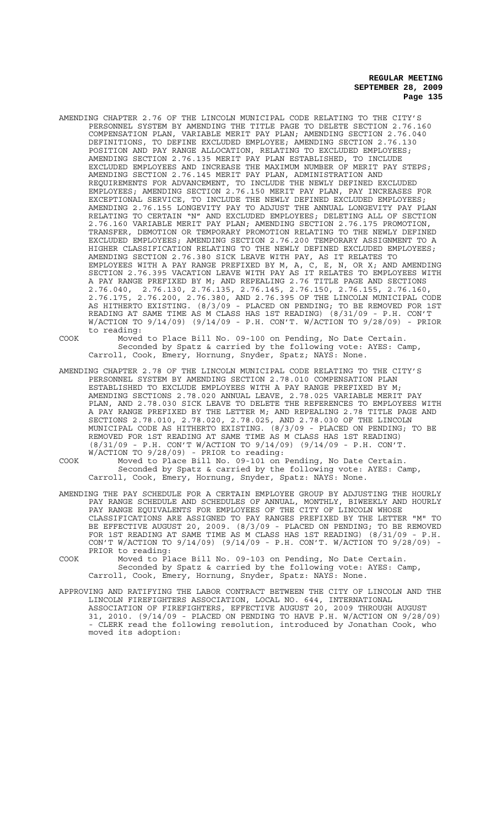AMENDING CHAPTER 2.76 OF THE LINCOLN MUNICIPAL CODE RELATING TO THE CITY'S PERSONNEL SYSTEM BY AMENDING THE TITLE PAGE TO DELETE SECTION 2.76.160 COMPENSATION PLAN, VARIABLE MERIT PAY PLAN; AMENDING SECTION 2.76.040 DEFINITIONS, TO DEFINE EXCLUDED EMPLOYEE; AMENDING SECTION 2.76.130 POSITION AND PAY RANGE ALLOCATION, RELATING TO EXCLUDED EMPLOYEES; AMENDING SECTION 2.76.135 MERIT PAY PLAN ESTABLISHED, TO INCLUDE EXCLUDED EMPLOYEES AND INCREASE THE MAXIMUM NUMBER OF MERIT PAY STEPS; AMENDING SECTION 2.76.145 MERIT PAY PLAN, ADMINISTRATION AND REQUIREMENTS FOR ADVANCEMENT, TO INCLUDE THE NEWLY DEFINED EXCLUDED EMPLOYEES; AMENDING SECTION 2.76.150 MERIT PAY PLAN, PAY INCREASES FOR EXCEPTIONAL SERVICE, TO INCLUDE THE NEWLY DEFINED EXCLUDED EMPLOYEES; AMENDING 2.76.155 LONGEVITY PAY TO ADJUST THE ANNUAL LONGEVITY PAY PLAN RELATING TO CERTAIN "N" AND EXCLUDED EMPLOYEES; DELETING ALL OF SECTION 2.76.160 VARIABLE MERIT PAY PLAN; AMENDING SECTION 2.76.175 PROMOTION, TRANSFER, DEMOTION OR TEMPORARY PROMOTION RELATING TO THE NEWLY DEFINED EXCLUDED EMPLOYEES; AMENDING SECTION 2.76.200 TEMPORARY ASSIGNMENT TO A HIGHER CLASSIFICATION RELATING TO THE NEWLY DEFINED EXCLUDED EMPLOYEES; AMENDING SECTION 2.76.380 SICK LEAVE WITH PAY, AS IT RELATES TO EMPLOYEES WITH A PAY RANGE PREFIXED BY M, A, C, E, N, OR X; AND AMENDING SECTION 2.76.395 VACATION LEAVE WITH PAY AS IT RELATES TO EMPLOYEES WITH A PAY RANGE PREFIXED BY M; AND REPEALING 2.76 TITLE PAGE AND SECTIONS 2.76.040, 2.76.130, 2.76.135, 2.76.145, 2.76.150, 2.76.155, 2.76.160, 2.76.175, 2.76.200, 2.76.380, AND 2.76.395 OF THE LINCOLN MUNICIPAL CODE AS HITHERTO EXISTING. (8/3/09 - PLACED ON PENDING; TO BE REMOVED FOR 1ST READING AT SAME TIME AS M CLASS HAS 1ST READING) (8/31/09 - P.H. CON'T W/ACTION TO 9/14/09) (9/14/09 - P.H. CON'T. W/ACTION TO 9/28/09) - PRIOR to reading:

COOK Moved to Place Bill No. 09-100 on Pending, No Date Certain. Seconded by Spatz & carried by the following vote: AYES: Camp, Carroll, Cook, Emery, Hornung, Snyder, Spatz; NAYS: None.

AMENDING CHAPTER 2.78 OF THE LINCOLN MUNICIPAL CODE RELATING TO THE CITY'S PERSONNEL SYSTEM BY AMENDING SECTION 2.78.010 COMPENSATION PLAN ESTABLISHED TO EXCLUDE EMPLOYEES WITH A PAY RANGE PREFIXED BY M; AMENDING SECTIONS 2.78.020 ANNUAL LEAVE, 2.78.025 VARIABLE MERIT PAY PLAN, AND 2.78.030 SICK LEAVE TO DELETE THE REFERENCES TO EMPLOYEES WITH A PAY RANGE PREFIXED BY THE LETTER M; AND REPEALING 2.78 TITLE PAGE AND SECTIONS 2.78.010, 2.78.020, 2.78.025, AND 2.78.030 OF THE LINCOLN MUNICIPAL CODE AS HITHERTO EXISTING. (8/3/09 - PLACED ON PENDING; TO BE REMOVED FOR 1ST READING AT SAME TIME AS M CLASS HAS 1ST READING) (8/31/09 - P.H. CON'T W/ACTION TO 9/14/09) (9/14/09 - P.H. CON'T. W/ACTION TO 9/28/09) - PRIOR to reading:

COOK Moved to Place Bill No. 09-101 on Pending, No Date Certain. Seconded by Spatz & carried by the following vote: AYES: Camp, Carroll, Cook, Emery, Hornung, Snyder, Spatz: NAYS: None.

- AMENDING THE PAY SCHEDULE FOR A CERTAIN EMPLOYEE GROUP BY ADJUSTING THE HOURLY PAY RANGE SCHEDULE AND SCHEDULES OF ANNUAL, MONTHLY, BIWEEKLY AND HOURLY PAY RANGE EQUIVALENTS FOR EMPLOYEES OF THE CITY OF LINCOLN WHOSE CLASSIFICATIONS ARE ASSIGNED TO PAY RANGES PREFIXED BY THE LETTER "M" TO BE EFFECTIVE AUGUST 20, 2009. (8/3/09 - PLACED ON PENDING; TO BE REMOVED FOR 1ST READING AT SAME TIME AS M CLASS HAS 1ST READING) (8/31/09 - P.H. CON'T W/ACTION TO 9/14/09) (9/14/09 - P.H. CON'T. W/ACTION TO 9/28/09) - PRIOR to reading:
- COOK Moved to Place Bill No. 09-103 on Pending, No Date Certain. Seconded by Spatz & carried by the following vote: AYES: Camp, Carroll, Cook, Emery, Hornung, Snyder, Spatz: NAYS: None.
- APPROVING AND RATIFYING THE LABOR CONTRACT BETWEEN THE CITY OF LINCOLN AND THE LINCOLN FIREFIGHTERS ASSOCIATION, LOCAL NO. 644, INTERNATIONAL ASSOCIATION OF FIREFIGHTERS, EFFECTIVE AUGUST 20, 2009 THROUGH AUGUST 31, 2010. (9/14/09 - PLACED ON PENDING TO HAVE P.H. W/ACTION ON 9/28/09) - CLERK read the following resolution, introduced by Jonathan Cook, who moved its adoption: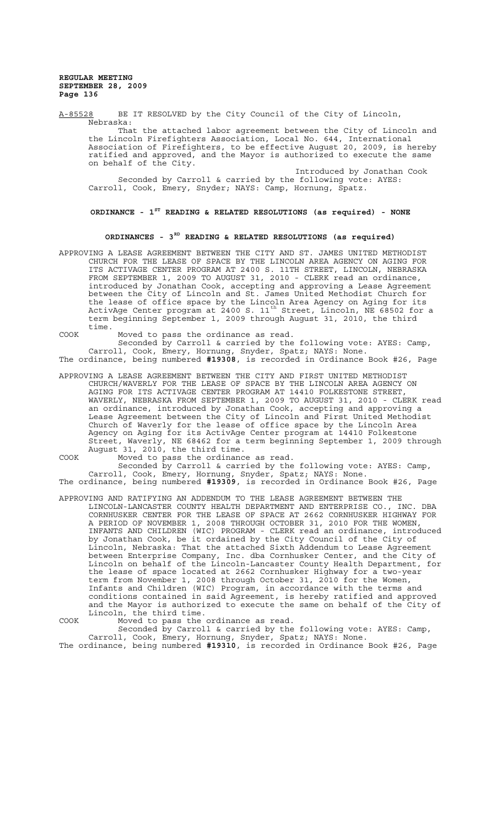A-85528 BE IT RESOLVED by the City Council of the City of Lincoln, Nebraska: That the attached labor agreement between the City of Lincoln and the Lincoln Firefighters Association, Local No. 644, International Association of Firefighters, to be effective August 20, 2009, is hereby ratified and approved, and the Mayor is authorized to execute the same on behalf of the City. Introduced by Jonathan Cook

Seconded by Carroll & carried by the following vote: AYES: Carroll, Cook, Emery, Snyder; NAYS: Camp, Hornung, Spatz.

**ORDINANCE - 1ST READING & RELATED RESOLUTIONS (as required) - NONE**

# **ORDINANCES - 3RD READING & RELATED RESOLUTIONS (as required)**

APPROVING A LEASE AGREEMENT BETWEEN THE CITY AND ST. JAMES UNITED METHODIST CHURCH FOR THE LEASE OF SPACE BY THE LINCOLN AREA AGENCY ON AGING FOR ITS ACTIVAGE CENTER PROGRAM AT 2400 S. 11TH STREET, LINCOLN, NEBRASKA FROM SEPTEMBER 1, 2009 TO AUGUST 31, 2010 - CLERK read an ordinance, introduced by Jonathan Cook, accepting and approving a Lease Agreement between the City of Lincoln and St. James United Methodist Church for the lease of office space by the Lincoln Area Agency on Aging for its ActivAge Center program at 2400 S. 11<sup>th</sup> Street, Lincoln, NE 68502 for a term beginning September 1, 2009 through August 31, 2010, the third time.

COOK Moved to pass the ordinance as read.

Seconded by Carroll & carried by the following vote: AYES: Camp, Carroll, Cook, Emery, Hornung, Snyder, Spatz; NAYS: None. The ordinance, being numbered **#19308**, is recorded in Ordinance Book #26, Page

APPROVING A LEASE AGREEMENT BETWEEN THE CITY AND FIRST UNITED METHODIST CHURCH/WAVERLY FOR THE LEASE OF SPACE BY THE LINCOLN AREA AGENCY ON AGING FOR ITS ACTIVAGE CENTER PROGRAM AT 14410 FOLKESTONE STREET, WAVERLY, NEBRASKA FROM SEPTEMBER 1, 2009 TO AUGUST 31, 2010 - CLERK read an ordinance, introduced by Jonathan Cook, accepting and approving a Lease Agreement between the City of Lincoln and First United Methodist Church of Waverly for the lease of office space by the Lincoln Area Agency on Aging for its ActivAge Center program at 14410 Folkestone Street, Waverly, NE 68462 for a term beginning September 1, 2009 through August 31, 2010, the third time.

COOK Moved to pass the ordinance as read.

Seconded by Carroll & carried by the following vote: AYES: Camp, Carroll, Cook, Emery, Hornung, Snyder, Spatz; NAYS: None. The ordinance, being numbered **#19309**, is recorded in Ordinance Book #26, Page

APPROVING AND RATIFYING AN ADDENDUM TO THE LEASE AGREEMENT BETWEEN THE LINCOLN-LANCASTER COUNTY HEALTH DEPARTMENT AND ENTERPRISE CO., INC. DBA CORNHUSKER CENTER FOR THE LEASE OF SPACE AT 2662 CORNHUSKER HIGHWAY FOR A PERIOD OF NOVEMBER 1, 2008 THROUGH OCTOBER 31, 2010 FOR THE WOMEN, INFANTS AND CHILDREN (WIC) PROGRAM - CLERK read an ordinance, introduced by Jonathan Cook, be it ordained by the City Council of the City of Lincoln, Nebraska: That the attached Sixth Addendum to Lease Agreement between Enterprise Company, Inc. dba Cornhusker Center, and the City of Lincoln on behalf of the Lincoln-Lancaster County Health Department, for the lease of space located at 2662 Cornhusker Highway for a two-year term from November 1, 2008 through October 31, 2010 for the Women, Infants and Children (WIC) Program, in accordance with the terms and conditions contained in said Agreement, is hereby ratified and approved and the Mayor is authorized to execute the same on behalf of the City of Lincoln, the third time.

COOK Moved to pass the ordinance as read. Seconded by Carroll & carried by the following vote: AYES: Camp, Carroll, Cook, Emery, Hornung, Snyder, Spatz; NAYS: None.

The ordinance, being numbered **#19310**, is recorded in Ordinance Book #26, Page